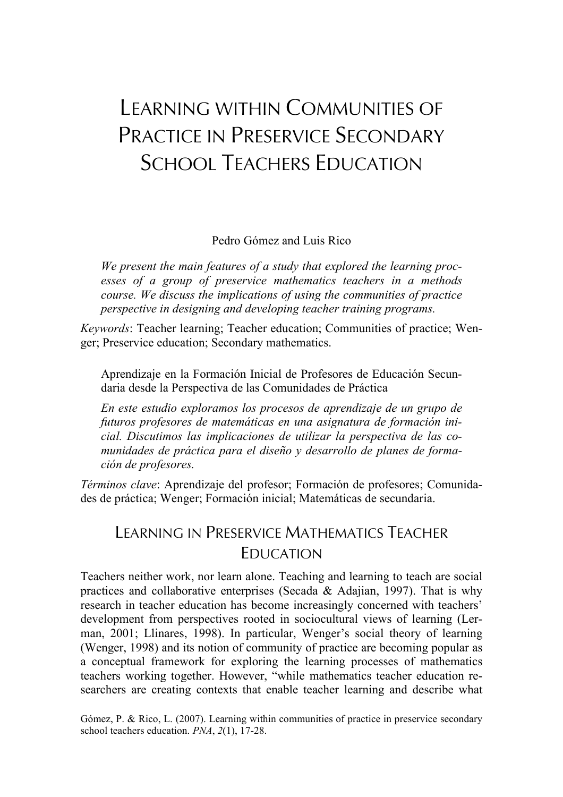# LEARNING WITHIN COMMUNITIES OF PRACTICE IN PRESERVICE SECONDARY SCHOOL TEACHERS EDUCATION

Pedro Gómez and Luis Rico

*We present the main features of a study that explored the learning processes of a group of preservice mathematics teachers in a methods course. We discuss the implications of using the communities of practice perspective in designing and developing teacher training programs.*

*Keywords*: Teacher learning; Teacher education; Communities of practice; Wenger; Preservice education; Secondary mathematics.

Aprendizaje en la Formación Inicial de Profesores de Educación Secundaria desde la Perspectiva de las Comunidades de Práctica

*En este estudio exploramos los procesos de aprendizaje de un grupo de futuros profesores de matemáticas en una asignatura de formación inicial. Discutimos las implicaciones de utilizar la perspectiva de las comunidades de práctica para el diseño y desarrollo de planes de formación de profesores.*

*Términos clave*: Aprendizaje del profesor; Formación de profesores; Comunidades de práctica; Wenger; Formación inicial; Matemáticas de secundaria.

# LEARNING IN PRESERVICE MATHEMATICS TEACHER EDUCATION

Teachers neither work, nor learn alone. Teaching and learning to teach are social practices and collaborative enterprises (Secada & Adajian, 1997). That is why research in teacher education has become increasingly concerned with teachers' development from perspectives rooted in sociocultural views of learning (Lerman, 2001; Llinares, 1998). In particular, Wenger's social theory of learning (Wenger, 1998) and its notion of community of practice are becoming popular as a conceptual framework for exploring the learning processes of mathematics teachers working together. However, "while mathematics teacher education researchers are creating contexts that enable teacher learning and describe what

Gómez, P. & Rico, L. (2007). Learning within communities of practice in preservice secondary school teachers education. *PNA*, *2*(1), 17-28.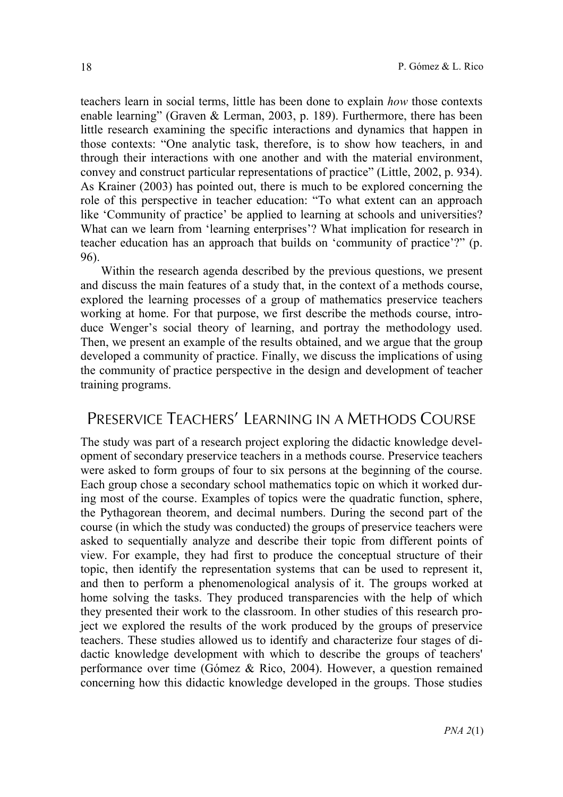teachers learn in social terms, little has been done to explain *how* those contexts enable learning" (Graven & Lerman, 2003, p. 189). Furthermore, there has been little research examining the specific interactions and dynamics that happen in those contexts: "One analytic task, therefore, is to show how teachers, in and through their interactions with one another and with the material environment, convey and construct particular representations of practice" (Little, 2002, p. 934). As Krainer (2003) has pointed out, there is much to be explored concerning the role of this perspective in teacher education: "To what extent can an approach like 'Community of practice' be applied to learning at schools and universities? What can we learn from 'learning enterprises'? What implication for research in teacher education has an approach that builds on 'community of practice'?" (p. 96).

Within the research agenda described by the previous questions, we present and discuss the main features of a study that, in the context of a methods course, explored the learning processes of a group of mathematics preservice teachers working at home. For that purpose, we first describe the methods course, introduce Wenger's social theory of learning, and portray the methodology used. Then, we present an example of the results obtained, and we argue that the group developed a community of practice. Finally, we discuss the implications of using the community of practice perspective in the design and development of teacher training programs.

## PRESERVICE TEACHERS' LEARNING IN A METHODS COURSE

The study was part of a research project exploring the didactic knowledge development of secondary preservice teachers in a methods course. Preservice teachers were asked to form groups of four to six persons at the beginning of the course. Each group chose a secondary school mathematics topic on which it worked during most of the course. Examples of topics were the quadratic function, sphere, the Pythagorean theorem, and decimal numbers. During the second part of the course (in which the study was conducted) the groups of preservice teachers were asked to sequentially analyze and describe their topic from different points of view. For example, they had first to produce the conceptual structure of their topic, then identify the representation systems that can be used to represent it, and then to perform a phenomenological analysis of it. The groups worked at home solving the tasks. They produced transparencies with the help of which they presented their work to the classroom. In other studies of this research project we explored the results of the work produced by the groups of preservice teachers. These studies allowed us to identify and characterize four stages of didactic knowledge development with which to describe the groups of teachers' performance over time (Gómez & Rico, 2004). However, a question remained concerning how this didactic knowledge developed in the groups. Those studies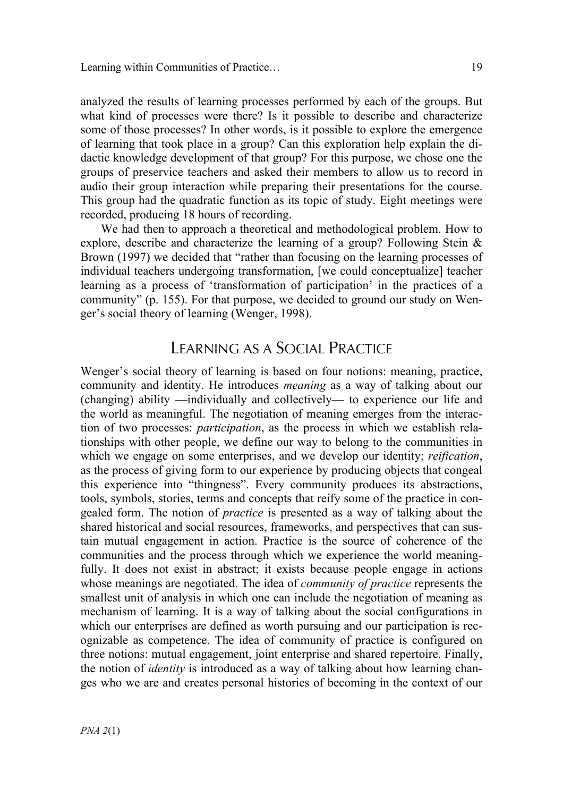analyzed the results of learning processes performed by each of the groups. But what kind of processes were there? Is it possible to describe and characterize some of those processes? In other words, is it possible to explore the emergence of learning that took place in a group? Can this exploration help explain the didactic knowledge development of that group? For this purpose, we chose one the groups of preservice teachers and asked their members to allow us to record in audio their group interaction while preparing their presentations for the course. This group had the quadratic function as its topic of study. Eight meetings were recorded, producing 18 hours of recording.

We had then to approach a theoretical and methodological problem. How to explore, describe and characterize the learning of a group? Following Stein & Brown (1997) we decided that "rather than focusing on the learning processes of individual teachers undergoing transformation, [we could conceptualize] teacher learning as a process of 'transformation of participation' in the practices of a community" (p. 155). For that purpose, we decided to ground our study on Wenger's social theory of learning (Wenger, 1998).

## LEARNING AS A SOCIAL PRACTICE

Wenger's social theory of learning is based on four notions: meaning, practice, community and identity. He introduces *meaning* as a way of talking about our (changing) ability —individually and collectively— to experience our life and the world as meaningful. The negotiation of meaning emerges from the interaction of two processes: *participation*, as the process in which we establish relationships with other people, we define our way to belong to the communities in which we engage on some enterprises, and we develop our identity; *reification*, as the process of giving form to our experience by producing objects that congeal this experience into "thingness". Every community produces its abstractions, tools, symbols, stories, terms and concepts that reify some of the practice in congealed form. The notion of *practice* is presented as a way of talking about the shared historical and social resources, frameworks, and perspectives that can sustain mutual engagement in action. Practice is the source of coherence of the communities and the process through which we experience the world meaningfully. It does not exist in abstract; it exists because people engage in actions whose meanings are negotiated. The idea of *community of practice* represents the smallest unit of analysis in which one can include the negotiation of meaning as mechanism of learning. It is a way of talking about the social configurations in which our enterprises are defined as worth pursuing and our participation is recognizable as competence. The idea of community of practice is configured on three notions: mutual engagement, joint enterprise and shared repertoire. Finally, the notion of *identity* is introduced as a way of talking about how learning changes who we are and creates personal histories of becoming in the context of our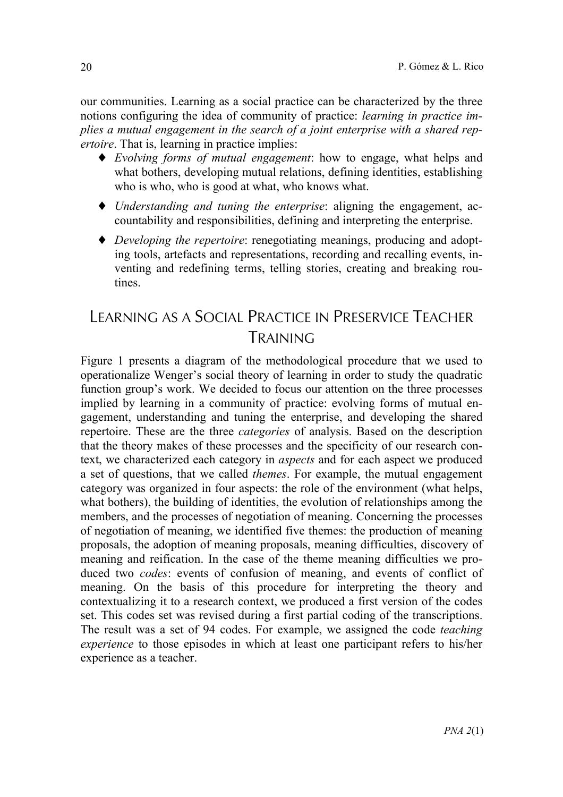our communities. Learning as a social practice can be characterized by the three notions configuring the idea of community of practice: *learning in practice implies a mutual engagement in the search of a joint enterprise with a shared repertoire*. That is, learning in practice implies:

- ♦ *Evolving forms of mutual engagement*: how to engage, what helps and what bothers, developing mutual relations, defining identities, establishing who is who, who is good at what, who knows what.
- ♦ *Understanding and tuning the enterprise*: aligning the engagement, accountability and responsibilities, defining and interpreting the enterprise.
- ♦ *Developing the repertoire*: renegotiating meanings, producing and adopting tools, artefacts and representations, recording and recalling events, inventing and redefining terms, telling stories, creating and breaking routines.

# LEARNING AS A SOCIAL PRACTICE IN PRESERVICE TEACHER TRAINING

Figure 1 presents a diagram of the methodological procedure that we used to operationalize Wenger's social theory of learning in order to study the quadratic function group's work. We decided to focus our attention on the three processes implied by learning in a community of practice: evolving forms of mutual engagement, understanding and tuning the enterprise, and developing the shared repertoire. These are the three *categories* of analysis. Based on the description that the theory makes of these processes and the specificity of our research context, we characterized each category in *aspects* and for each aspect we produced a set of questions, that we called *themes*. For example, the mutual engagement category was organized in four aspects: the role of the environment (what helps, what bothers), the building of identities, the evolution of relationships among the members, and the processes of negotiation of meaning. Concerning the processes of negotiation of meaning, we identified five themes: the production of meaning proposals, the adoption of meaning proposals, meaning difficulties, discovery of meaning and reification. In the case of the theme meaning difficulties we produced two *codes*: events of confusion of meaning, and events of conflict of meaning. On the basis of this procedure for interpreting the theory and contextualizing it to a research context, we produced a first version of the codes set. This codes set was revised during a first partial coding of the transcriptions. The result was a set of 94 codes. For example, we assigned the code *teaching experience* to those episodes in which at least one participant refers to his/her experience as a teacher.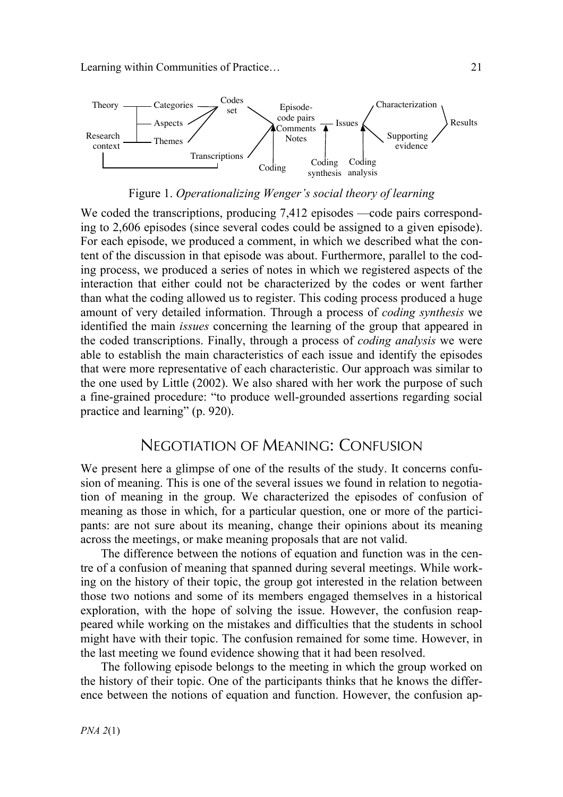

Figure 1. *Operationalizing Wenger's social theory of learning*

We coded the transcriptions, producing 7,412 episodes —code pairs corresponding to 2,606 episodes (since several codes could be assigned to a given episode). For each episode, we produced a comment, in which we described what the content of the discussion in that episode was about. Furthermore, parallel to the coding process, we produced a series of notes in which we registered aspects of the interaction that either could not be characterized by the codes or went farther than what the coding allowed us to register. This coding process produced a huge amount of very detailed information. Through a process of *coding synthesis* we identified the main *issues* concerning the learning of the group that appeared in the coded transcriptions. Finally, through a process of *coding analysis* we were able to establish the main characteristics of each issue and identify the episodes that were more representative of each characteristic. Our approach was similar to the one used by Little (2002). We also shared with her work the purpose of such a fine-grained procedure: "to produce well-grounded assertions regarding social practice and learning" (p. 920).

#### NEGOTIATION OF MEANING: CONFUSION

We present here a glimpse of one of the results of the study. It concerns confusion of meaning. This is one of the several issues we found in relation to negotiation of meaning in the group. We characterized the episodes of confusion of meaning as those in which, for a particular question, one or more of the participants: are not sure about its meaning, change their opinions about its meaning across the meetings, or make meaning proposals that are not valid.

The difference between the notions of equation and function was in the centre of a confusion of meaning that spanned during several meetings. While working on the history of their topic, the group got interested in the relation between those two notions and some of its members engaged themselves in a historical exploration, with the hope of solving the issue. However, the confusion reappeared while working on the mistakes and difficulties that the students in school might have with their topic. The confusion remained for some time. However, in the last meeting we found evidence showing that it had been resolved.

The following episode belongs to the meeting in which the group worked on the history of their topic. One of the participants thinks that he knows the difference between the notions of equation and function. However, the confusion ap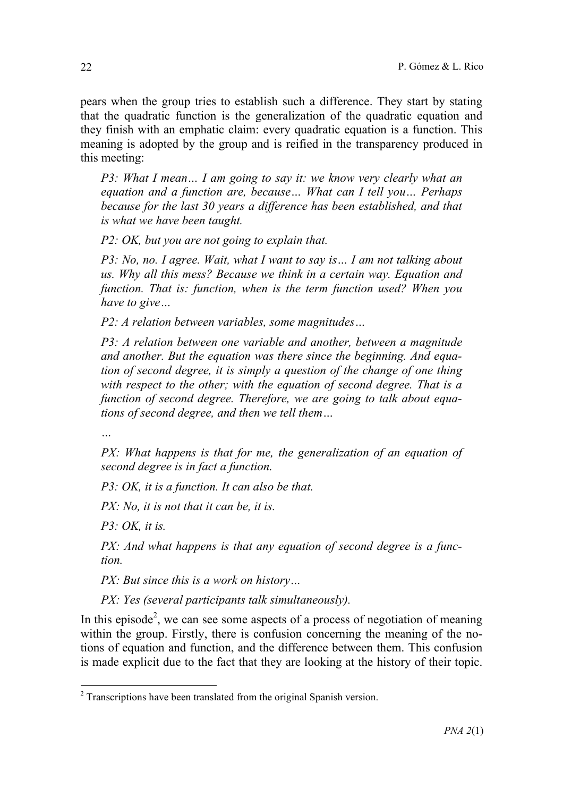pears when the group tries to establish such a difference. They start by stating that the quadratic function is the generalization of the quadratic equation and they finish with an emphatic claim: every quadratic equation is a function. This meaning is adopted by the group and is reified in the transparency produced in this meeting:

*P3: What I mean… I am going to say it: we know very clearly what an equation and a function are, because… What can I tell you… Perhaps because for the last 30 years a difference has been established, and that is what we have been taught.*

*P2: OK, but you are not going to explain that.*

*P3: No, no. I agree. Wait, what I want to say is… I am not talking about us. Why all this mess? Because we think in a certain way. Equation and function. That is: function, when is the term function used? When you have to give…*

*P2: A relation between variables, some magnitudes…*

*P3: A relation between one variable and another, between a magnitude and another. But the equation was there since the beginning. And equation of second degree, it is simply a question of the change of one thing with respect to the other; with the equation of second degree. That is a function of second degree. Therefore, we are going to talk about equations of second degree, and then we tell them…*

*…*

*PX: What happens is that for me, the generalization of an equation of second degree is in fact a function.*

*P3: OK, it is a function. It can also be that.*

*PX: No, it is not that it can be, it is.*

*P3: OK, it is.*

*PX: And what happens is that any equation of second degree is a function.*

*PX: But since this is a work on history…*

*PX: Yes (several participants talk simultaneously).*

In this episode<sup>2</sup>, we can see some aspects of a process of negotiation of meaning within the group. Firstly, there is confusion concerning the meaning of the notions of equation and function, and the difference between them. This confusion is made explicit due to the fact that they are looking at the history of their topic.

<sup>&</sup>lt;sup>2</sup> Transcriptions have been translated from the original Spanish version.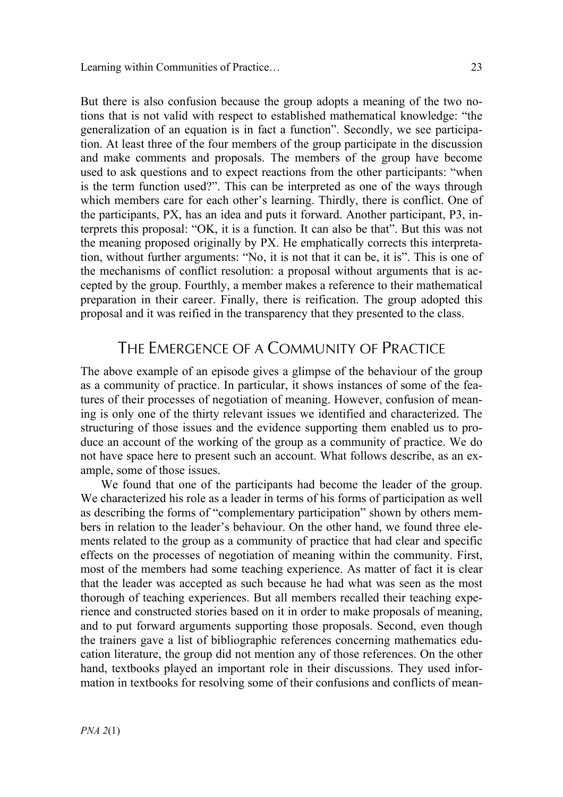But there is also confusion because the group adopts a meaning of the two notions that is not valid with respect to established mathematical knowledge: "the generalization of an equation is in fact a function". Secondly, we see participation. At least three of the four members of the group participate in the discussion and make comments and proposals. The members of the group have become used to ask questions and to expect reactions from the other participants: "when is the term function used?". This can be interpreted as one of the ways through which members care for each other's learning. Thirdly, there is conflict. One of the participants, PX, has an idea and puts it forward. Another participant, P3, interprets this proposal: "OK, it is a function. It can also be that". But this was not the meaning proposed originally by PX. He emphatically corrects this interpretation, without further arguments: "No, it is not that it can be, it is". This is one of the mechanisms of conflict resolution: a proposal without arguments that is accepted by the group. Fourthly, a member makes a reference to their mathematical preparation in their career. Finally, there is reification. The group adopted this proposal and it was reified in the transparency that they presented to the class.

## THE EMERGENCE OF A COMMUNITY OF PRACTICE

The above example of an episode gives a glimpse of the behaviour of the group as a community of practice. In particular, it shows instances of some of the features of their processes of negotiation of meaning. However, confusion of meaning is only one of the thirty relevant issues we identified and characterized. The structuring of those issues and the evidence supporting them enabled us to produce an account of the working of the group as a community of practice. We do not have space here to present such an account. What follows describe, as an example, some of those issues.

We found that one of the participants had become the leader of the group. We characterized his role as a leader in terms of his forms of participation as well as describing the forms of "complementary participation" shown by others members in relation to the leader's behaviour. On the other hand, we found three elements related to the group as a community of practice that had clear and specific effects on the processes of negotiation of meaning within the community. First, most of the members had some teaching experience. As matter of fact it is clear that the leader was accepted as such because he had what was seen as the most thorough of teaching experiences. But all members recalled their teaching experience and constructed stories based on it in order to make proposals of meaning, and to put forward arguments supporting those proposals. Second, even though the trainers gave a list of bibliographic references concerning mathematics education literature, the group did not mention any of those references. On the other hand, textbooks played an important role in their discussions. They used information in textbooks for resolving some of their confusions and conflicts of mean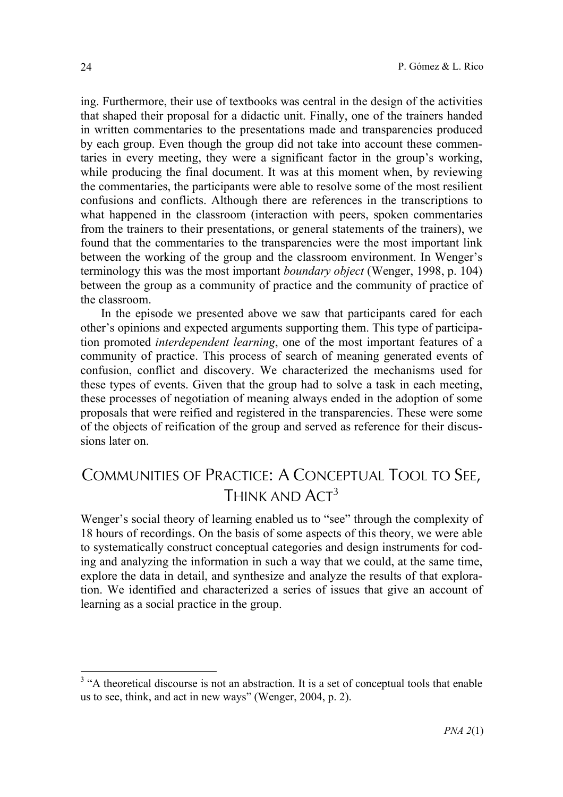ing. Furthermore, their use of textbooks was central in the design of the activities that shaped their proposal for a didactic unit. Finally, one of the trainers handed in written commentaries to the presentations made and transparencies produced by each group. Even though the group did not take into account these commentaries in every meeting, they were a significant factor in the group's working, while producing the final document. It was at this moment when, by reviewing the commentaries, the participants were able to resolve some of the most resilient confusions and conflicts. Although there are references in the transcriptions to what happened in the classroom (interaction with peers, spoken commentaries from the trainers to their presentations, or general statements of the trainers), we found that the commentaries to the transparencies were the most important link between the working of the group and the classroom environment. In Wenger's terminology this was the most important *boundary object* (Wenger, 1998, p. 104) between the group as a community of practice and the community of practice of the classroom.

In the episode we presented above we saw that participants cared for each other's opinions and expected arguments supporting them. This type of participation promoted *interdependent learning*, one of the most important features of a community of practice. This process of search of meaning generated events of confusion, conflict and discovery. We characterized the mechanisms used for these types of events. Given that the group had to solve a task in each meeting, these processes of negotiation of meaning always ended in the adoption of some proposals that were reified and registered in the transparencies. These were some of the objects of reification of the group and served as reference for their discussions later on.

# COMMUNITIES OF PRACTICE: A CONCEPTUAL TOOL TO SEE, THINK AND ACT<sup>3</sup>

Wenger's social theory of learning enabled us to "see" through the complexity of 18 hours of recordings. On the basis of some aspects of this theory, we were able to systematically construct conceptual categories and design instruments for coding and analyzing the information in such a way that we could, at the same time, explore the data in detail, and synthesize and analyze the results of that exploration. We identified and characterized a series of issues that give an account of learning as a social practice in the group.

<sup>&</sup>lt;sup>3</sup> "A theoretical discourse is not an abstraction. It is a set of conceptual tools that enable us to see, think, and act in new ways" (Wenger, 2004, p. 2).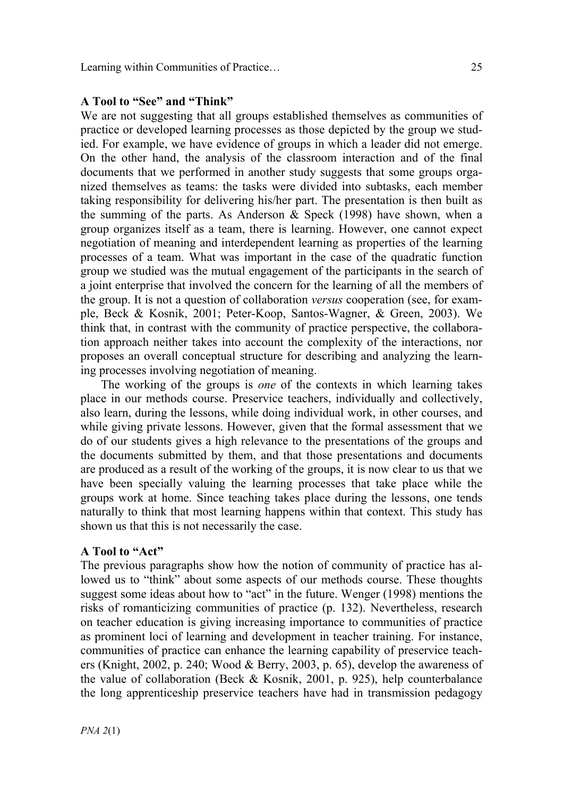#### **A Tool to "See" and "Think"**

We are not suggesting that all groups established themselves as communities of practice or developed learning processes as those depicted by the group we studied. For example, we have evidence of groups in which a leader did not emerge. On the other hand, the analysis of the classroom interaction and of the final documents that we performed in another study suggests that some groups organized themselves as teams: the tasks were divided into subtasks, each member taking responsibility for delivering his/her part. The presentation is then built as the summing of the parts. As Anderson  $\&$  Speck (1998) have shown, when a group organizes itself as a team, there is learning. However, one cannot expect negotiation of meaning and interdependent learning as properties of the learning processes of a team. What was important in the case of the quadratic function group we studied was the mutual engagement of the participants in the search of a joint enterprise that involved the concern for the learning of all the members of the group. It is not a question of collaboration *versus* cooperation (see, for example, Beck & Kosnik, 2001; Peter-Koop, Santos-Wagner, & Green, 2003). We think that, in contrast with the community of practice perspective, the collaboration approach neither takes into account the complexity of the interactions, nor proposes an overall conceptual structure for describing and analyzing the learning processes involving negotiation of meaning.

The working of the groups is *one* of the contexts in which learning takes place in our methods course. Preservice teachers, individually and collectively, also learn, during the lessons, while doing individual work, in other courses, and while giving private lessons. However, given that the formal assessment that we do of our students gives a high relevance to the presentations of the groups and the documents submitted by them, and that those presentations and documents are produced as a result of the working of the groups, it is now clear to us that we have been specially valuing the learning processes that take place while the groups work at home. Since teaching takes place during the lessons, one tends naturally to think that most learning happens within that context. This study has shown us that this is not necessarily the case.

#### **A Tool to "Act"**

The previous paragraphs show how the notion of community of practice has allowed us to "think" about some aspects of our methods course. These thoughts suggest some ideas about how to "act" in the future. Wenger (1998) mentions the risks of romanticizing communities of practice (p. 132). Nevertheless, research on teacher education is giving increasing importance to communities of practice as prominent loci of learning and development in teacher training. For instance, communities of practice can enhance the learning capability of preservice teachers (Knight, 2002, p. 240; Wood & Berry, 2003, p. 65), develop the awareness of the value of collaboration (Beck & Kosnik, 2001, p. 925), help counterbalance the long apprenticeship preservice teachers have had in transmission pedagogy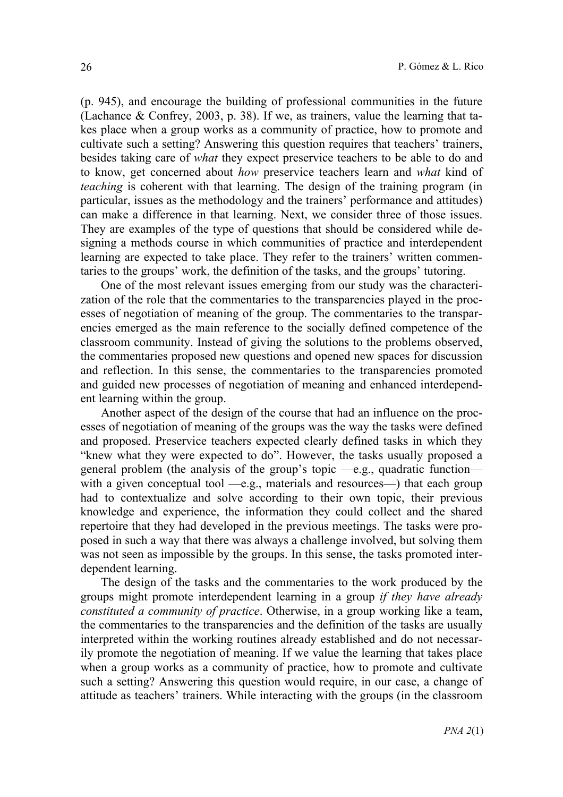(p. 945), and encourage the building of professional communities in the future (Lachance & Confrey, 2003, p. 38). If we, as trainers, value the learning that takes place when a group works as a community of practice, how to promote and cultivate such a setting? Answering this question requires that teachers' trainers, besides taking care of *what* they expect preservice teachers to be able to do and to know, get concerned about *how* preservice teachers learn and *what* kind of *teaching* is coherent with that learning. The design of the training program (in particular, issues as the methodology and the trainers' performance and attitudes) can make a difference in that learning. Next, we consider three of those issues. They are examples of the type of questions that should be considered while designing a methods course in which communities of practice and interdependent learning are expected to take place. They refer to the trainers' written commentaries to the groups' work, the definition of the tasks, and the groups' tutoring.

One of the most relevant issues emerging from our study was the characterization of the role that the commentaries to the transparencies played in the processes of negotiation of meaning of the group. The commentaries to the transparencies emerged as the main reference to the socially defined competence of the classroom community. Instead of giving the solutions to the problems observed, the commentaries proposed new questions and opened new spaces for discussion and reflection. In this sense, the commentaries to the transparencies promoted and guided new processes of negotiation of meaning and enhanced interdependent learning within the group.

Another aspect of the design of the course that had an influence on the processes of negotiation of meaning of the groups was the way the tasks were defined and proposed. Preservice teachers expected clearly defined tasks in which they "knew what they were expected to do". However, the tasks usually proposed a general problem (the analysis of the group's topic —e.g., quadratic function with a given conceptual tool —e.g., materials and resources—) that each group had to contextualize and solve according to their own topic, their previous knowledge and experience, the information they could collect and the shared repertoire that they had developed in the previous meetings. The tasks were proposed in such a way that there was always a challenge involved, but solving them was not seen as impossible by the groups. In this sense, the tasks promoted interdependent learning.

The design of the tasks and the commentaries to the work produced by the groups might promote interdependent learning in a group *if they have already constituted a community of practice*. Otherwise, in a group working like a team, the commentaries to the transparencies and the definition of the tasks are usually interpreted within the working routines already established and do not necessarily promote the negotiation of meaning. If we value the learning that takes place when a group works as a community of practice, how to promote and cultivate such a setting? Answering this question would require, in our case, a change of attitude as teachers' trainers. While interacting with the groups (in the classroom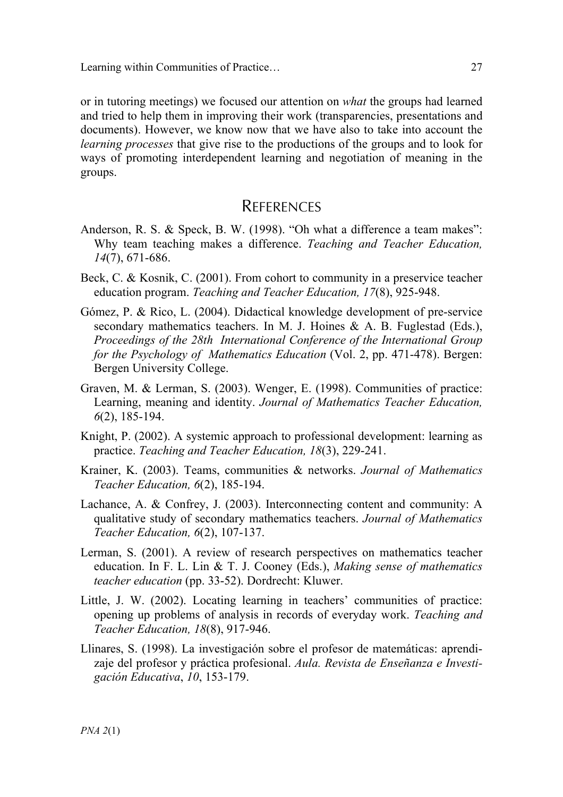Learning within Communities of Practice…

or in tutoring meetings) we focused our attention on *what* the groups had learned and tried to help them in improving their work (transparencies, presentations and documents). However, we know now that we have also to take into account the *learning processes* that give rise to the productions of the groups and to look for ways of promoting interdependent learning and negotiation of meaning in the groups.

#### **REFERENCES**

- Anderson, R. S. & Speck, B. W. (1998). "Oh what a difference a team makes": Why team teaching makes a difference. *Teaching and Teacher Education, 14*(7), 671-686.
- Beck, C. & Kosnik, C. (2001). From cohort to community in a preservice teacher education program. *Teaching and Teacher Education, 17*(8), 925-948.
- Gómez, P. & Rico, L. (2004). Didactical knowledge development of pre-service secondary mathematics teachers. In M. J. Hoines & A. B. Fuglestad (Eds.), *Proceedings of the 28th International Conference of the International Group for the Psychology of Mathematics Education* (Vol. 2, pp. 471-478). Bergen: Bergen University College.
- Graven, M. & Lerman, S. (2003). Wenger, E. (1998). Communities of practice: Learning, meaning and identity. *Journal of Mathematics Teacher Education, 6*(2), 185-194.
- Knight, P. (2002). A systemic approach to professional development: learning as practice. *Teaching and Teacher Education, 18*(3), 229-241.
- Krainer, K. (2003). Teams, communities & networks. *Journal of Mathematics Teacher Education, 6*(2), 185-194.
- Lachance, A. & Confrey, J. (2003). Interconnecting content and community: A qualitative study of secondary mathematics teachers. *Journal of Mathematics Teacher Education, 6*(2), 107-137.
- Lerman, S. (2001). A review of research perspectives on mathematics teacher education. In F. L. Lin & T. J. Cooney (Eds.), *Making sense of mathematics teacher education* (pp. 33-52). Dordrecht: Kluwer.
- Little, J. W. (2002). Locating learning in teachers' communities of practice: opening up problems of analysis in records of everyday work. *Teaching and Teacher Education, 18*(8), 917-946.
- Llinares, S. (1998). La investigación sobre el profesor de matemáticas: aprendizaje del profesor y práctica profesional. *Aula. Revista de Enseñanza e Investigación Educativa*, *10*, 153-179.